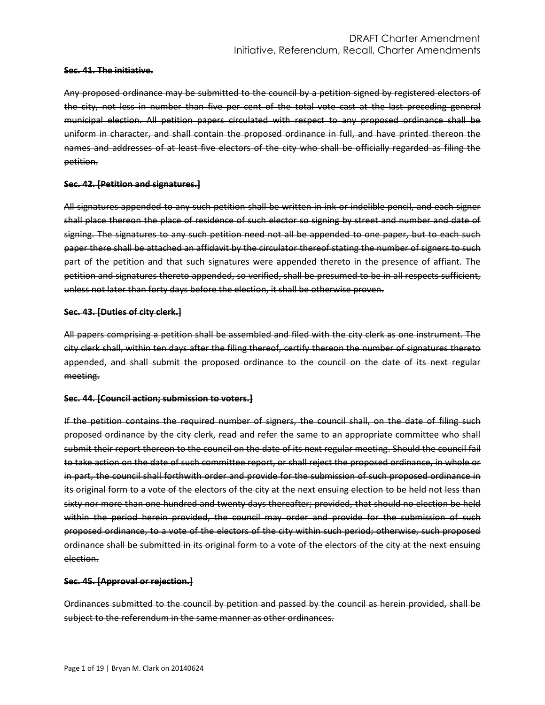#### **Sec. 41. The initiative.**

Any proposed ordinance may be submitted to the council by a petition signed by registered electors of the city, not less in number than five per cent of the total vote cast at the last preceding general municipal election. All petition papers circulated with respect to any proposed ordinance shall be uniform in character, and shall contain the proposed ordinance in full, and have printed thereon the names and addresses of at least five electors of the city who shall be officially regarded as filing the petition.

#### **Sec. 42. [Petition and signatures.]**

All signatures appended to any such petition shall be written in ink or indelible pencil, and each signer shall place thereon the place of residence of such elector so signing by street and number and date of signing. The signatures to any such petition need not all be appended to one paper, but to each such paper there shall be attached an affidavit by the circulator thereof stating the number of signers to such part of the petition and that such signatures were appended thereto in the presence of affiant. The petition and signatures thereto appended, so verified, shall be presumed to be in all respects sufficient, unless not later than forty days before the election, it shall be otherwise proven.

#### **Sec. 43. [Duties of city clerk.]**

All papers comprising a petition shall be assembled and filed with the city clerk as one instrument. The city clerk shall, within ten days after the filing thereof, certify thereon the number of signatures thereto appended, and shall submit the proposed ordinance to the council on the date of its next regular meeting.

### **Sec. 44. [Council action; submission to voters.]**

If the petition contains the required number of signers, the council shall, on the date of filing such proposed ordinance by the city clerk, read and refer the same to an appropriate committee who shall submit their report thereon to the council on the date of its next regular meeting. Should the council fail to take action on the date of such committee report, or shall reject the proposed ordinance, in whole or in part, the council shall forthwith order and provide for the submission of such proposed ordinance in its original form to a vote of the electors of the city at the next ensuing election to be held not less than sixty nor more than one hundred and twenty days thereafter; provided, that should no election be held within the period herein provided, the council may order and provide for the submission of such proposed ordinance, to a vote of the electors of the city within such period; otherwise, such proposed ordinance shall be submitted in its original form to a vote of the electors of the city at the next ensuing election.

### **Sec. 45. [Approval or rejection.]**

Ordinances submitted to the council by petition and passed by the council as herein provided, shall be subject to the referendum in the same manner as other ordinances.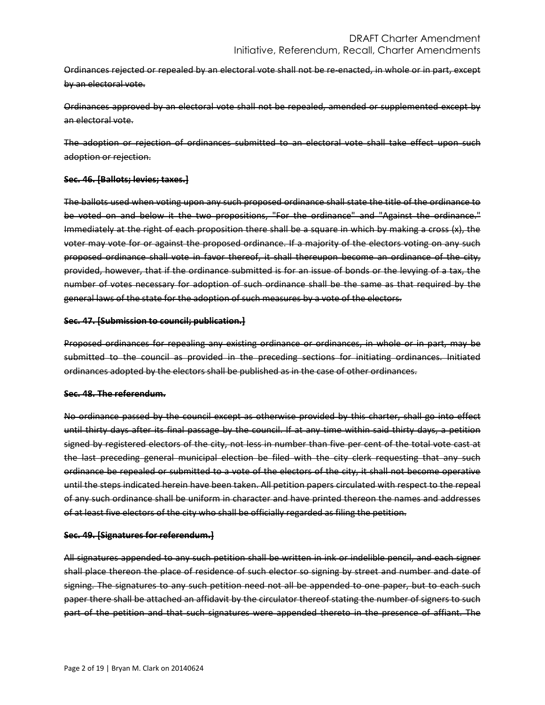Ordinances rejected or repealed by an electoral vote shall not be re-enacted, in whole or in part, except by an electoral vote.

Ordinances approved by an electoral vote shall not be repealed, amended or supplemented except by an electoral vote.

The adoption or rejection of ordinances submitted to an electoral vote shall take effect upon such adoption or rejection.

## **Sec. 46. [Ballots; levies; taxes.]**

The ballots used when voting upon any such proposed ordinance shall state the title of the ordinance to be voted on and below it the two propositions, "For the ordinance" and "Against the ordinance." Immediately at the right of each proposition there shall be a square in which by making a cross (x), the voter may vote for or against the proposed ordinance. If a majority of the electors voting on any such proposed ordinance shall vote in favor thereof, it shall thereupon become an ordinance of the city, provided, however, that if the ordinance submitted is for an issue of bonds or the levying of a tax, the number of votes necessary for adoption of such ordinance shall be the same as that required by the general laws of the state for the adoption of such measures by a vote of the electors.

### **Sec. 47. [Submission to council; publication.]**

Proposed ordinances for repealing any existing ordinance or ordinances, in whole or in part, may be submitted to the council as provided in the preceding sections for initiating ordinances. Initiated ordinances adopted by the electors shall be published as in the case of other ordinances.

### **Sec. 48. The referendum.**

No ordinance passed by the council except as otherwise provided by this charter, shall go into effect until thirty days after its final passage by the council. If at any time within said thirty days, a petition signed by registered electors of the city, not less in number than five per cent of the total vote cast at the last preceding general municipal election be filed with the city clerk requesting that any such ordinance be repealed or submitted to a vote of the electors of the city, it shall not become operative until the steps indicated herein have been taken. All petition papers circulated with respect to the repeal of any such ordinance shall be uniform in character and have printed thereon the names and addresses of at least five electors of the city who shall be officially regarded as filing the petition.

### **Sec. 49. [Signatures for referendum.]**

All signatures appended to any such petition shall be written in ink or indelible pencil, and each signer shall place thereon the place of residence of such elector so signing by street and number and date of signing. The signatures to any such petition need not all be appended to one paper, but to each such paper there shall be attached an affidavit by the circulator thereof stating the number of signers to such part of the petition and that such signatures were appended thereto in the presence of affiant. The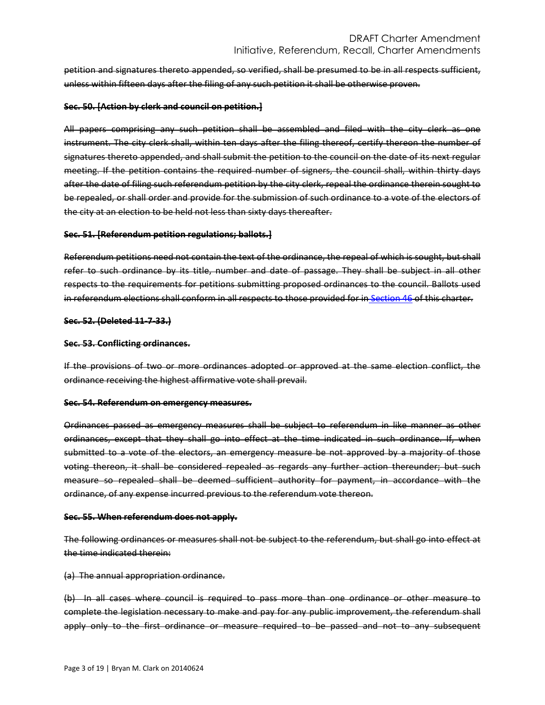petition and signatures thereto appended, so verified, shall be presumed to be in all respects sufficient, unless within fifteen days after the filing of any such petition it shall be otherwise proven.

#### **Sec. 50. [Action by clerk and council on petition.]**

All papers comprising any such petition shall be assembled and filed with the city clerk as one instrument. The city clerk shall, within ten days after the filing thereof, certify thereon the number of signatures thereto appended, and shall submit the petition to the council on the date of its next regular meeting. If the petition contains the required number of signers, the council shall, within thirty days after the date of filing such referendum petition by the city clerk, repeal the ordinance therein sought to be repealed, or shall order and provide for the submission of such ordinance to a vote of the electors of the city at an election to be held not less than sixty days thereafter.

#### **Sec. 51. [Referendum petition regulations; ballots.]**

Referendum petitions need not contain the text of the ordinance, the repeal of which is sought, but shall refer to such ordinance by its title, number and date of passage. They shall be subject in all other respects to the requirements for petitions submitting proposed ordinances to the council. Ballots used in referendum elections shall conform in all respects to those provided for in [Section 46](https://library.municode.com/HTML/16219/level2/CHTR_THECICOOH_INRE.html#CHTR_THECICOOH_INRE_S46BALETA) of this charter.

#### **Sec. 52. (Deleted 11-7-33.)**

#### **Sec. 53. Conflicting ordinances.**

If the provisions of two or more ordinances adopted or approved at the same election conflict, the ordinance receiving the highest affirmative vote shall prevail.

#### **Sec. 54. Referendum on emergency measures.**

Ordinances passed as emergency measures shall be subject to referendum in like manner as other ordinances, except that they shall go into effect at the time indicated in such ordinance. If, when submitted to a vote of the electors, an emergency measure be not approved by a majority of those voting thereon, it shall be considered repealed as regards any further action thereunder; but such measure so repealed shall be deemed sufficient authority for payment, in accordance with the ordinance, of any expense incurred previous to the referendum vote thereon.

#### **Sec. 55. When referendum does not apply.**

The following ordinances or measures shall not be subject to the referendum, but shall go into effect at the time indicated therein:

(a) The annual appropriation ordinance.

(b) In all cases where council is required to pass more than one ordinance or other measure to complete the legislation necessary to make and pay for any public improvement, the referendum shall apply only to the first ordinance or measure required to be passed and not to any subsequent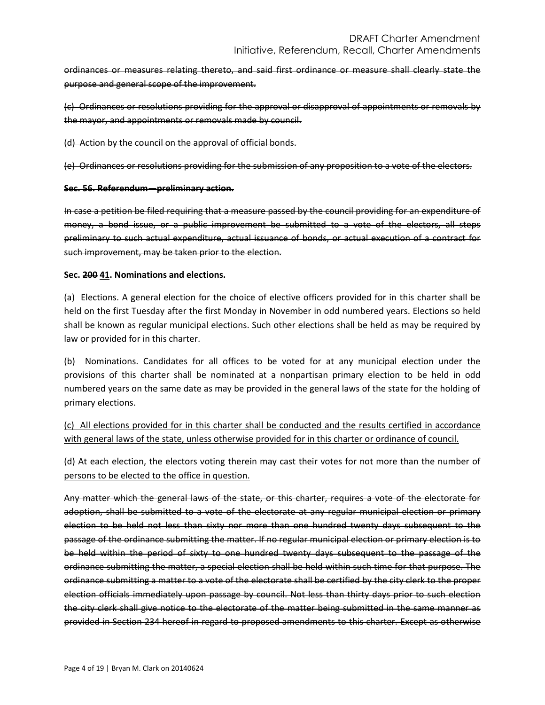ordinances or measures relating thereto, and said first ordinance or measure shall clearly state the purpose and general scope of the improvement.

(c) Ordinances or resolutions providing for the approval or disapproval of appointments or removals by the mayor, and appointments or removals made by council.

(d) Action by the council on the approval of official bonds.

(e) Ordinances or resolutions providing for the submission of any proposition to a vote of the electors.

## **Sec. 56. Referendum—preliminary action.**

In case a petition be filed requiring that a measure passed by the council providing for an expenditure of money, a bond issue, or a public improvement be submitted to a vote of the electors, all steps preliminary to such actual expenditure, actual issuance of bonds, or actual execution of a contract for such improvement, may be taken prior to the election.

## **Sec. 200 41. Nominations and elections.**

(a) Elections. A general election for the choice of elective officers provided for in this charter shall be held on the first Tuesday after the first Monday in November in odd numbered years. Elections so held shall be known as regular municipal elections. Such other elections shall be held as may be required by law or provided for in this charter.

(b) Nominations. Candidates for all offices to be voted for at any municipal election under the provisions of this charter shall be nominated at a nonpartisan primary election to be held in odd numbered years on the same date as may be provided in the general laws of the state for the holding of primary elections.

(c) All elections provided for in this charter shall be conducted and the results certified in accordance with general laws of the state, unless otherwise provided for in this charter or ordinance of council.

(d) At each election, the electors voting therein may cast their votes for not more than the number of persons to be elected to the office in question.

Any matter which the general laws of the state, or this charter, requires a vote of the electorate for adoption, shall be submitted to a vote of the electorate at any regular municipal election or primary election to be held not less than sixty nor more than one hundred twenty days subsequent to the passage of the ordinance submitting the matter. If no regular municipal election or primary election is to be held within the period of sixty to one hundred twenty days subsequent to the passage of the ordinance submitting the matter, a special election shall be held within such time for that purpose. The ordinance submitting a matter to a vote of the electorate shall be certified by the city clerk to the proper election officials immediately upon passage by council. Not less than thirty days prior to such election the city clerk shall give notice to the electorate of the matter being submitted in the same manner as provided in Section 234 hereof in regard to proposed amendments to this charter. Except as otherwise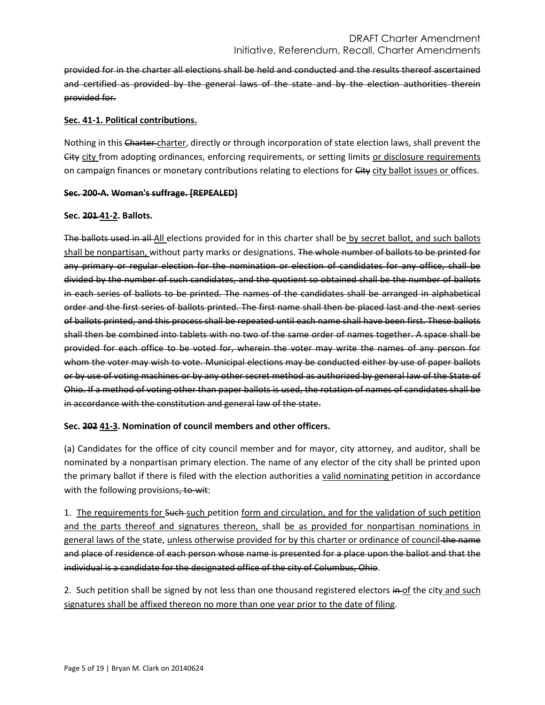provided for in the charter all elections shall be held and conducted and the results thereof ascertained and certified as provided by the general laws of the state and by the election authorities therein provided for.

# **Sec. 41-1. Political contributions.**

Nothing in this Charter charter, directly or through incorporation of state election laws, shall prevent the City city from adopting ordinances, enforcing requirements, or setting limits or disclosure requirements on campaign finances or monetary contributions relating to elections for City city ballot issues or offices.

## **Sec. 200-A. Woman's suffrage. [REPEALED]**

## **Sec. 201 41-2. Ballots.**

The ballots used in all All elections provided for in this charter shall be by secret ballot, and such ballots shall be nonpartisan, without party marks or designations. The whole number of ballots to be printed for any primary or regular election for the nomination or election of candidates for any office, shall be divided by the number of such candidates, and the quotient so obtained shall be the number of ballots in each series of ballots to be printed. The names of the candidates shall be arranged in alphabetical order and the first series of ballots printed. The first name shall then be placed last and the next series of ballots printed, and this process shall be repeated until each name shall have been first. These ballots shall then be combined into tablets with no two of the same order of names together. A space shall be provided for each office to be voted for, wherein the voter may write the names of any person for whom the voter may wish to vote. Municipal elections may be conducted either by use of paper ballots or by use of voting machines or by any other secret method as authorized by general law of the State of Ohio. If a method of voting other than paper ballots is used, the rotation of names of candidates shall be in accordance with the constitution and general law of the state.

# **Sec. 202 41-3. Nomination of council members and other officers.**

(a) Candidates for the office of city council member and for mayor, city attorney, and auditor, shall be nominated by a nonpartisan primary election. The name of any elector of the city shall be printed upon the primary ballot if there is filed with the election authorities a valid nominating petition in accordance with the following provisions, to-wit:

1. The requirements for Such-such petition form and circulation, and for the validation of such petition and the parts thereof and signatures thereon, shall be as provided for nonpartisan nominations in general laws of the state, unless otherwise provided for by this charter or ordinance of council the name and place of residence of each person whose name is presented for a place upon the ballot and that the individual is a candidate for the designated office of the city of Columbus, Ohio.

2. Such petition shall be signed by not less than one thousand registered electors  $\frac{1}{n}$  of the city and such signatures shall be affixed thereon no more than one year prior to the date of filing.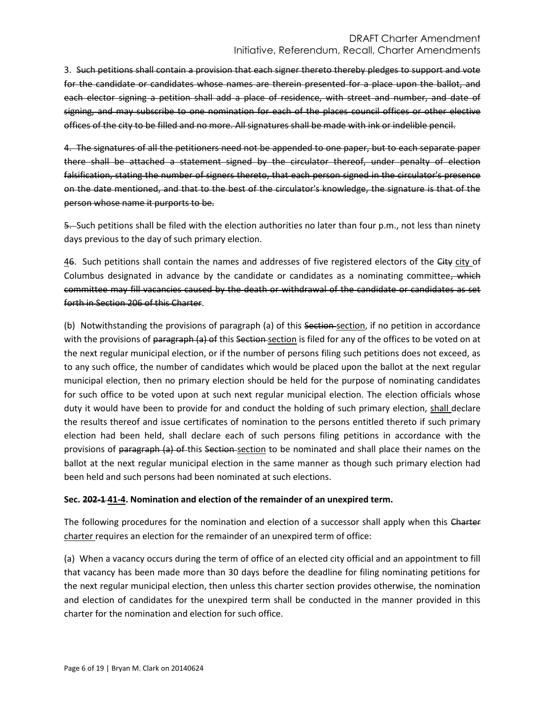# DRAFT Charter Amendment Initiative, Referendum, Recall, Charter Amendments

3. Such petitions shall contain a provision that each signer thereto thereby pledges to support and vote for the candidate or candidates whose names are therein presented for a place upon the ballot, and each elector signing a petition shall add a place of residence, with street and number, and date of signing, and may subscribe to one nomination for each of the places council offices or other elective offices of the city to be filled and no more. All signatures shall be made with ink or indelible pencil.

4. The signatures of all the petitioners need not be appended to one paper, but to each separate paper there shall be attached a statement signed by the circulator thereof, under penalty of election falsification, stating the number of signers thereto, that each person signed in the circulator's presence on the date mentioned, and that to the best of the circulator's knowledge, the signature is that of the person whose name it purports to be.

5. Such petitions shall be filed with the election authorities no later than four p.m., not less than ninety days previous to the day of such primary election.

46. Such petitions shall contain the names and addresses of five registered electors of the City city of Columbus designated in advance by the candidate or candidates as a nominating committee, which committee may fill vacancies caused by the death or withdrawal of the candidate or candidates as set forth in Section 206 of this Charter.

(b) Notwithstanding the provisions of paragraph (a) of this Section-section, if no petition in accordance with the provisions of paragraph (a) of this Section section is filed for any of the offices to be voted on at the next regular municipal election, or if the number of persons filing such petitions does not exceed, as to any such office, the number of candidates which would be placed upon the ballot at the next regular municipal election, then no primary election should be held for the purpose of nominating candidates for such office to be voted upon at such next regular municipal election. The election officials whose duty it would have been to provide for and conduct the holding of such primary election, shall declare the results thereof and issue certificates of nomination to the persons entitled thereto if such primary election had been held, shall declare each of such persons filing petitions in accordance with the provisions of paragraph (a) of this Section section to be nominated and shall place their names on the ballot at the next regular municipal election in the same manner as though such primary election had been held and such persons had been nominated at such elections.

# **Sec. 202-1 41-4. Nomination and election of the remainder of an unexpired term.**

The following procedures for the nomination and election of a successor shall apply when this Charter charter requires an election for the remainder of an unexpired term of office:

(a) When a vacancy occurs during the term of office of an elected city official and an appointment to fill that vacancy has been made more than 30 days before the deadline for filing nominating petitions for the next regular municipal election, then unless this charter section provides otherwise, the nomination and election of candidates for the unexpired term shall be conducted in the manner provided in this charter for the nomination and election for such office.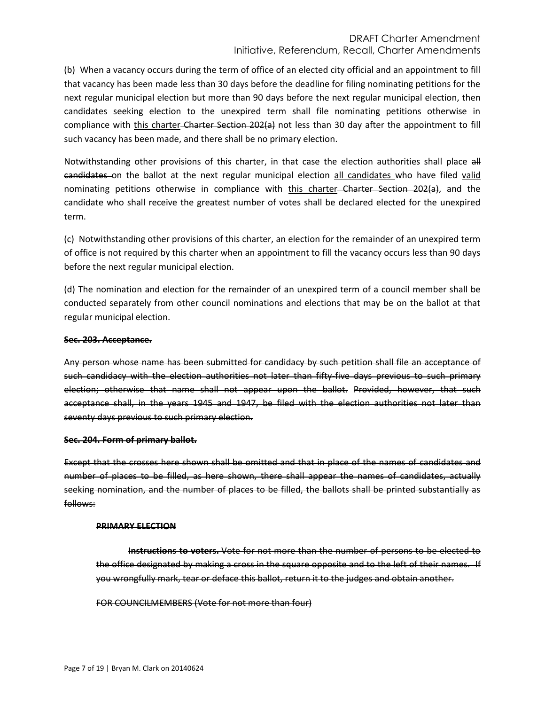# DRAFT Charter Amendment Initiative, Referendum, Recall, Charter Amendments

(b) When a vacancy occurs during the term of office of an elected city official and an appointment to fill that vacancy has been made less than 30 days before the deadline for filing nominating petitions for the next regular municipal election but more than 90 days before the next regular municipal election, then candidates seeking election to the unexpired term shall file nominating petitions otherwise in compliance with this charter-Charter Section 202(a) not less than 30 day after the appointment to fill such vacancy has been made, and there shall be no primary election.

Notwithstanding other provisions of this charter, in that case the election authorities shall place all candidates on the ballot at the next regular municipal election all candidates who have filed valid nominating petitions otherwise in compliance with this charter Charter Section 202(a), and the candidate who shall receive the greatest number of votes shall be declared elected for the unexpired term.

(c) Notwithstanding other provisions of this charter, an election for the remainder of an unexpired term of office is not required by this charter when an appointment to fill the vacancy occurs less than 90 days before the next regular municipal election.

(d) The nomination and election for the remainder of an unexpired term of a council member shall be conducted separately from other council nominations and elections that may be on the ballot at that regular municipal election.

## **Sec. 203. Acceptance.**

Any person whose name has been submitted for candidacy by such petition shall file an acceptance of such candidacy with the election authorities not later than fifty-five days previous to such primary election; otherwise that name shall not appear upon the ballot. Provided, however, that such acceptance shall, in the years 1945 and 1947, be filed with the election authorities not later than seventy days previous to such primary election.

# **Sec. 204. Form of primary ballot.**

Except that the crosses here shown shall be omitted and that in place of the names of candidates and number of places to be filled, as here shown, there shall appear the names of candidates, actually seeking nomination, and the number of places to be filled, the ballots shall be printed substantially as follows:

### **PRIMARY ELECTION**

**Instructions to voters.** Vote for not more than the number of persons to be elected to the office designated by making a cross in the square opposite and to the left of their names. If you wrongfully mark, tear or deface this ballot, return it to the judges and obtain another.

FOR COUNCILMEMBERS (Vote for not more than four)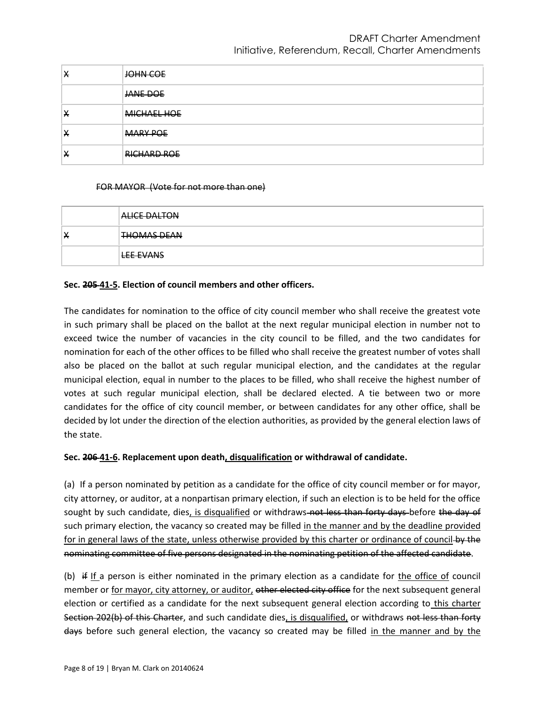| X | JOHN COE           |
|---|--------------------|
|   | JANE DOE           |
| Х | MICHAEL HOE        |
| X | <b>MARY POE</b>    |
| X | <b>RICHARD ROE</b> |

### FOR MAYOR (Vote for not more than one)

|   | <b>ALICE DALTON</b> |
|---|---------------------|
| х | <b>THOMAS DEAN</b>  |
|   | <b>LEE EVANS</b>    |

## **Sec. 205 41-5. Election of council members and other officers.**

The candidates for nomination to the office of city council member who shall receive the greatest vote in such primary shall be placed on the ballot at the next regular municipal election in number not to exceed twice the number of vacancies in the city council to be filled, and the two candidates for nomination for each of the other offices to be filled who shall receive the greatest number of votes shall also be placed on the ballot at such regular municipal election, and the candidates at the regular municipal election, equal in number to the places to be filled, who shall receive the highest number of votes at such regular municipal election, shall be declared elected. A tie between two or more candidates for the office of city council member, or between candidates for any other office, shall be decided by lot under the direction of the election authorities, as provided by the general election laws of the state.

### **Sec. 206 41-6. Replacement upon death, disqualification or withdrawal of candidate.**

(a) If a person nominated by petition as a candidate for the office of city council member or for mayor, city attorney, or auditor, at a nonpartisan primary election, if such an election is to be held for the office sought by such candidate, dies, is disqualified or withdraws-not less than forty days-before the day of such primary election, the vacancy so created may be filled in the manner and by the deadline provided for in general laws of the state, unless otherwise provided by this charter or ordinance of council-by the nominating committee of five persons designated in the nominating petition of the affected candidate.

(b) if If a person is either nominated in the primary election as a candidate for the office of council member or for mayor, city attorney, or auditor, other elected city office for the next subsequent general election or certified as a candidate for the next subsequent general election according to this charter Section 202(b) of this Charter, and such candidate dies, is disqualified, or withdraws not less than forty days before such general election, the vacancy so created may be filled in the manner and by the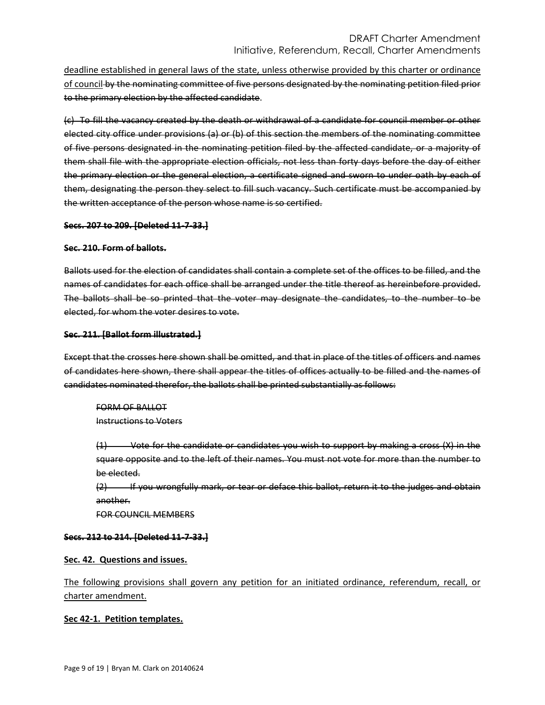deadline established in general laws of the state, unless otherwise provided by this charter or ordinance of council by the nominating committee of five persons designated by the nominating petition filed prior to the primary election by the affected candidate.

(c) To fill the vacancy created by the death or withdrawal of a candidate for council member or other elected city office under provisions (a) or (b) of this section the members of the nominating committee of five persons designated in the nominating petition filed by the affected candidate, or a majority of them shall file with the appropriate election officials, not less than forty days before the day of either the primary election or the general election, a certificate signed and sworn to under oath by each of them, designating the person they select to fill such vacancy. Such certificate must be accompanied by the written acceptance of the person whose name is so certified.

## **Secs. 207 to 209. [Deleted 11-7-33.]**

### **Sec. 210. Form of ballots.**

Ballots used for the election of candidates shall contain a complete set of the offices to be filled, and the names of candidates for each office shall be arranged under the title thereof as hereinbefore provided. The ballots shall be so printed that the voter may designate the candidates, to the number to be elected, for whom the voter desires to vote.

## **Sec. 211. [Ballot form illustrated.]**

Except that the crosses here shown shall be omitted, and that in place of the titles of officers and names of candidates here shown, there shall appear the titles of offices actually to be filled and the names of candidates nominated therefor, the ballots shall be printed substantially as follows:

FORM OF BALLOT Instructions to Voters

(1) Vote for the candidate or candidates you wish to support by making a cross (X) in the square opposite and to the left of their names. You must not vote for more than the number to be elected.

(2) If you wrongfully mark, or tear or deface this ballot, return it to the judges and obtain another.

FOR COUNCIL MEMBERS

# **Secs. 212 to 214. [Deleted 11-7-33.]**

# **Sec. 42. Questions and issues.**

The following provisions shall govern any petition for an initiated ordinance, referendum, recall, or charter amendment.

# **Sec 42-1. Petition templates.**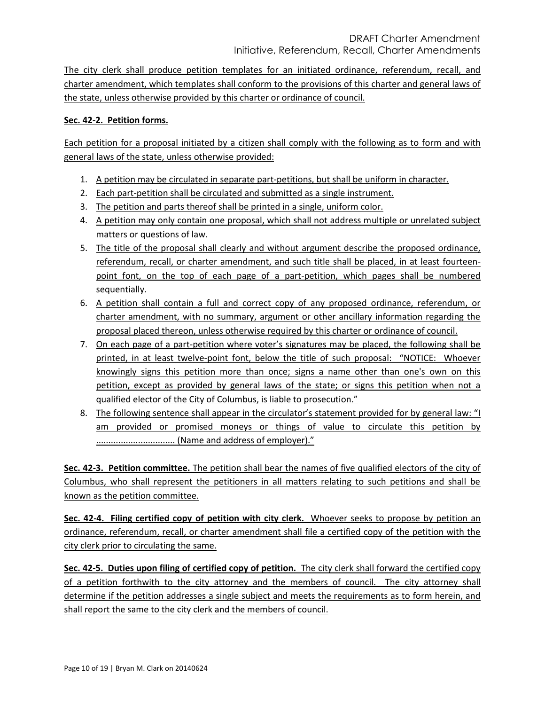The city clerk shall produce petition templates for an initiated ordinance, referendum, recall, and charter amendment, which templates shall conform to the provisions of this charter and general laws of the state, unless otherwise provided by this charter or ordinance of council.

# **Sec. 42-2. Petition forms.**

Each petition for a proposal initiated by a citizen shall comply with the following as to form and with general laws of the state, unless otherwise provided:

- 1. A petition may be circulated in separate part-petitions, but shall be uniform in character.
- 2. Each part-petition shall be circulated and submitted as a single instrument.
- 3. The petition and parts thereof shall be printed in a single, uniform color.
- 4. A petition may only contain one proposal, which shall not address multiple or unrelated subject matters or questions of law.
- 5. The title of the proposal shall clearly and without argument describe the proposed ordinance, referendum, recall, or charter amendment, and such title shall be placed, in at least fourteenpoint font, on the top of each page of a part-petition, which pages shall be numbered sequentially.
- 6. A petition shall contain a full and correct copy of any proposed ordinance, referendum, or charter amendment, with no summary, argument or other ancillary information regarding the proposal placed thereon, unless otherwise required by this charter or ordinance of council.
- 7. On each page of a part-petition where voter's signatures may be placed, the following shall be printed, in at least twelve-point font, below the title of such proposal: "NOTICE: Whoever knowingly signs this petition more than once; signs a name other than one's own on this petition, except as provided by general laws of the state; or signs this petition when not a qualified elector of the City of Columbus, is liable to prosecution."
- 8. The following sentence shall appear in the circulator's statement provided for by general law: "I am provided or promised moneys or things of value to circulate this petition by ................................ (Name and address of employer)."

**Sec. 42-3. Petition committee.** The petition shall bear the names of five qualified electors of the city of Columbus, who shall represent the petitioners in all matters relating to such petitions and shall be known as the petition committee.

**Sec. 42-4. Filing certified copy of petition with city clerk.** Whoever seeks to propose by petition an ordinance, referendum, recall, or charter amendment shall file a certified copy of the petition with the city clerk prior to circulating the same.

**Sec. 42-5. Duties upon filing of certified copy of petition.** The city clerk shall forward the certified copy of a petition forthwith to the city attorney and the members of council. The city attorney shall determine if the petition addresses a single subject and meets the requirements as to form herein, and shall report the same to the city clerk and the members of council.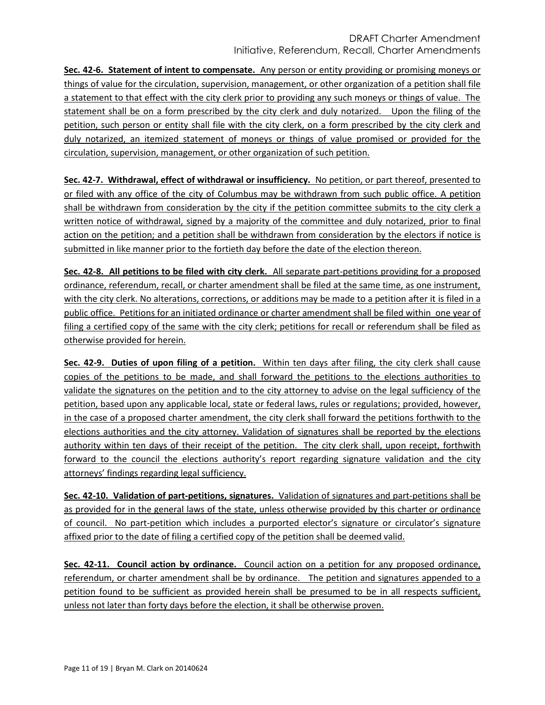**Sec. 42-6. Statement of intent to compensate.** Any person or entity providing or promising moneys or things of value for the circulation, supervision, management, or other organization of a petition shall file a statement to that effect with the city clerk prior to providing any such moneys or things of value. The statement shall be on a form prescribed by the city clerk and duly notarized. Upon the filing of the petition, such person or entity shall file with the city clerk, on a form prescribed by the city clerk and duly notarized, an itemized statement of moneys or things of value promised or provided for the circulation, supervision, management, or other organization of such petition.

**Sec. 42-7. Withdrawal, effect of withdrawal or insufficiency.** No petition, or part thereof, presented to or filed with any office of the city of Columbus may be withdrawn from such public office. A petition shall be withdrawn from consideration by the city if the petition committee submits to the city clerk a written notice of withdrawal, signed by a majority of the committee and duly notarized, prior to final action on the petition; and a petition shall be withdrawn from consideration by the electors if notice is submitted in like manner prior to the fortieth day before the date of the election thereon.

**Sec. 42-8. All petitions to be filed with city clerk.** All separate part-petitions providing for a proposed ordinance, referendum, recall, or charter amendment shall be filed at the same time, as one instrument, with the city clerk. No alterations, corrections, or additions may be made to a petition after it is filed in a public office. Petitions for an initiated ordinance or charter amendment shall be filed within one year of filing a certified copy of the same with the city clerk; petitions for recall or referendum shall be filed as otherwise provided for herein.

**Sec. 42-9. Duties of upon filing of a petition.** Within ten days after filing, the city clerk shall cause copies of the petitions to be made, and shall forward the petitions to the elections authorities to validate the signatures on the petition and to the city attorney to advise on the legal sufficiency of the petition, based upon any applicable local, state or federal laws, rules or regulations; provided, however, in the case of a proposed charter amendment, the city clerk shall forward the petitions forthwith to the elections authorities and the city attorney. Validation of signatures shall be reported by the elections authority within ten days of their receipt of the petition. The city clerk shall, upon receipt, forthwith forward to the council the elections authority's report regarding signature validation and the city attorneys' findings regarding legal sufficiency.

**Sec. 42-10. Validation of part-petitions, signatures.** Validation of signatures and part-petitions shall be as provided for in the general laws of the state, unless otherwise provided by this charter or ordinance of council. No part-petition which includes a purported elector's signature or circulator's signature affixed prior to the date of filing a certified copy of the petition shall be deemed valid.

**Sec. 42-11. Council action by ordinance.** Council action on a petition for any proposed ordinance, referendum, or charter amendment shall be by ordinance. The petition and signatures appended to a petition found to be sufficient as provided herein shall be presumed to be in all respects sufficient, unless not later than forty days before the election, it shall be otherwise proven.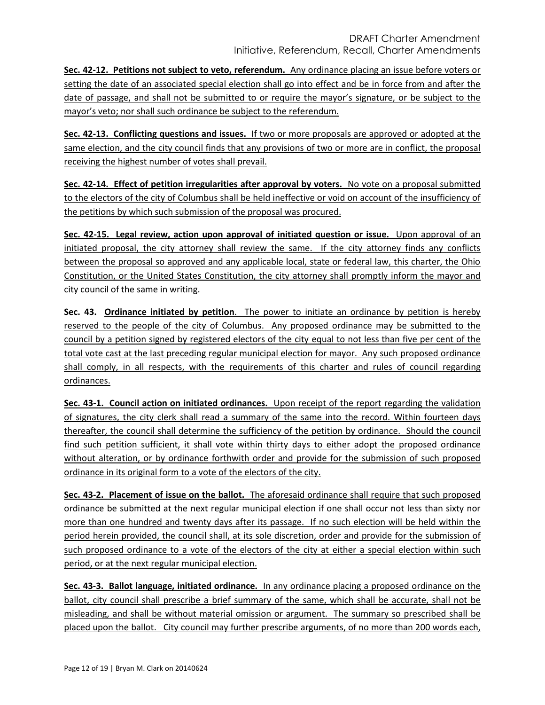**Sec. 42-12. Petitions not subject to veto, referendum.** Any ordinance placing an issue before voters or setting the date of an associated special election shall go into effect and be in force from and after the date of passage, and shall not be submitted to or require the mayor's signature, or be subject to the mayor's veto; nor shall such ordinance be subject to the referendum.

**Sec. 42-13. Conflicting questions and issues.** If two or more proposals are approved or adopted at the same election, and the city council finds that any provisions of two or more are in conflict, the proposal receiving the highest number of votes shall prevail.

**Sec. 42-14. Effect of petition irregularities after approval by voters.** No vote on a proposal submitted to the electors of the city of Columbus shall be held ineffective or void on account of the insufficiency of the petitions by which such submission of the proposal was procured.

**Sec. 42-15. Legal review, action upon approval of initiated question or issue.** Upon approval of an initiated proposal, the city attorney shall review the same. If the city attorney finds any conflicts between the proposal so approved and any applicable local, state or federal law, this charter, the Ohio Constitution, or the United States Constitution, the city attorney shall promptly inform the mayor and city council of the same in writing.

**Sec. 43. Ordinance initiated by petition**. The power to initiate an ordinance by petition is hereby reserved to the people of the city of Columbus. Any proposed ordinance may be submitted to the council by a petition signed by registered electors of the city equal to not less than five per cent of the total vote cast at the last preceding regular municipal election for mayor. Any such proposed ordinance shall comply, in all respects, with the requirements of this charter and rules of council regarding ordinances.

**Sec. 43-1. Council action on initiated ordinances.** Upon receipt of the report regarding the validation of signatures, the city clerk shall read a summary of the same into the record. Within fourteen days thereafter, the council shall determine the sufficiency of the petition by ordinance. Should the council find such petition sufficient, it shall vote within thirty days to either adopt the proposed ordinance without alteration, or by ordinance forthwith order and provide for the submission of such proposed ordinance in its original form to a vote of the electors of the city.

**Sec. 43-2. Placement of issue on the ballot.** The aforesaid ordinance shall require that such proposed ordinance be submitted at the next regular municipal election if one shall occur not less than sixty nor more than one hundred and twenty days after its passage. If no such election will be held within the period herein provided, the council shall, at its sole discretion, order and provide for the submission of such proposed ordinance to a vote of the electors of the city at either a special election within such period, or at the next regular municipal election.

**Sec. 43-3. Ballot language, initiated ordinance.** In any ordinance placing a proposed ordinance on the ballot, city council shall prescribe a brief summary of the same, which shall be accurate, shall not be misleading, and shall be without material omission or argument. The summary so prescribed shall be placed upon the ballot. City council may further prescribe arguments, of no more than 200 words each,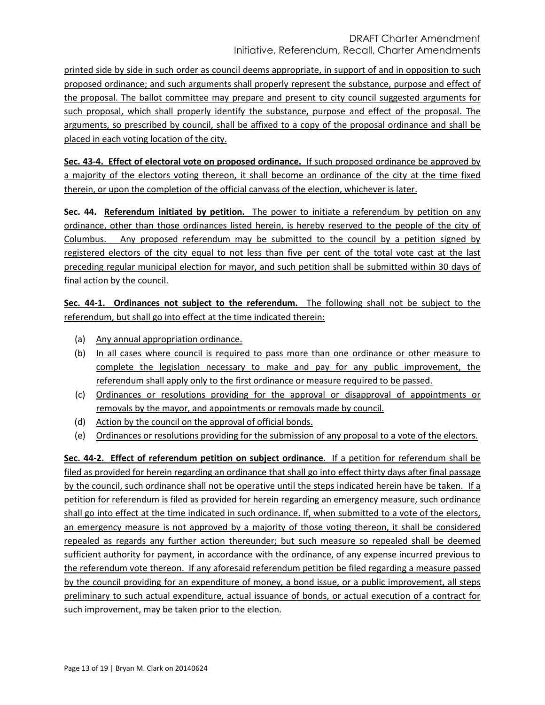printed side by side in such order as council deems appropriate, in support of and in opposition to such proposed ordinance; and such arguments shall properly represent the substance, purpose and effect of the proposal. The ballot committee may prepare and present to city council suggested arguments for such proposal, which shall properly identify the substance, purpose and effect of the proposal. The arguments, so prescribed by council, shall be affixed to a copy of the proposal ordinance and shall be placed in each voting location of the city.

**Sec. 43-4. Effect of electoral vote on proposed ordinance.** If such proposed ordinance be approved by a majority of the electors voting thereon, it shall become an ordinance of the city at the time fixed therein, or upon the completion of the official canvass of the election, whichever is later.

**Sec. 44. Referendum initiated by petition.** The power to initiate a referendum by petition on any ordinance, other than those ordinances listed herein, is hereby reserved to the people of the city of Columbus. Any proposed referendum may be submitted to the council by a petition signed by registered electors of the city equal to not less than five per cent of the total vote cast at the last preceding regular municipal election for mayor, and such petition shall be submitted within 30 days of final action by the council.

**Sec. 44-1. Ordinances not subject to the referendum.** The following shall not be subject to the referendum, but shall go into effect at the time indicated therein:

- (a) Any annual appropriation ordinance.
- (b) In all cases where council is required to pass more than one ordinance or other measure to complete the legislation necessary to make and pay for any public improvement, the referendum shall apply only to the first ordinance or measure required to be passed.
- (c) Ordinances or resolutions providing for the approval or disapproval of appointments or removals by the mayor, and appointments or removals made by council.
- (d) Action by the council on the approval of official bonds.
- (e) Ordinances or resolutions providing for the submission of any proposal to a vote of the electors.

**Sec. 44-2. Effect of referendum petition on subject ordinance**. If a petition for referendum shall be filed as provided for herein regarding an ordinance that shall go into effect thirty days after final passage by the council, such ordinance shall not be operative until the steps indicated herein have be taken. If a petition for referendum is filed as provided for herein regarding an emergency measure, such ordinance shall go into effect at the time indicated in such ordinance. If, when submitted to a vote of the electors, an emergency measure is not approved by a majority of those voting thereon, it shall be considered repealed as regards any further action thereunder; but such measure so repealed shall be deemed sufficient authority for payment, in accordance with the ordinance, of any expense incurred previous to the referendum vote thereon. If any aforesaid referendum petition be filed regarding a measure passed by the council providing for an expenditure of money, a bond issue, or a public improvement, all steps preliminary to such actual expenditure, actual issuance of bonds, or actual execution of a contract for such improvement, may be taken prior to the election.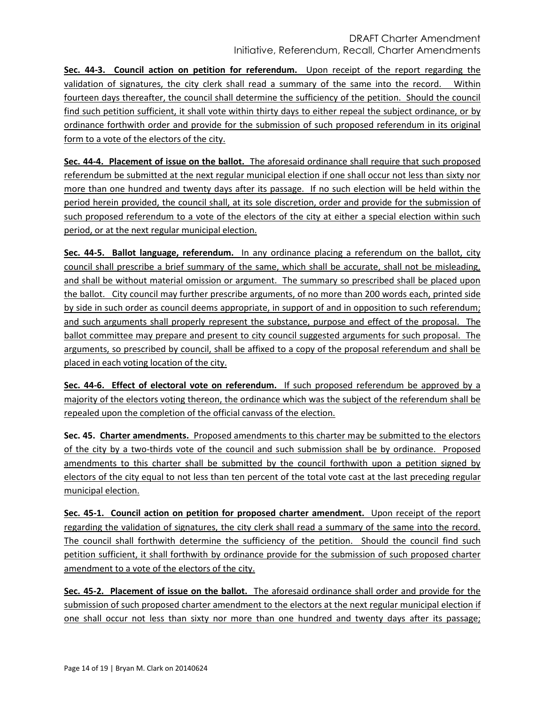**Sec. 44-3. Council action on petition for referendum.** Upon receipt of the report regarding the validation of signatures, the city clerk shall read a summary of the same into the record. Within fourteen days thereafter, the council shall determine the sufficiency of the petition. Should the council find such petition sufficient, it shall vote within thirty days to either repeal the subject ordinance, or by ordinance forthwith order and provide for the submission of such proposed referendum in its original form to a vote of the electors of the city.

**Sec. 44-4. Placement of issue on the ballot.** The aforesaid ordinance shall require that such proposed referendum be submitted at the next regular municipal election if one shall occur not less than sixty nor more than one hundred and twenty days after its passage. If no such election will be held within the period herein provided, the council shall, at its sole discretion, order and provide for the submission of such proposed referendum to a vote of the electors of the city at either a special election within such period, or at the next regular municipal election.

**Sec. 44-5. Ballot language, referendum.** In any ordinance placing a referendum on the ballot, city council shall prescribe a brief summary of the same, which shall be accurate, shall not be misleading, and shall be without material omission or argument. The summary so prescribed shall be placed upon the ballot. City council may further prescribe arguments, of no more than 200 words each, printed side by side in such order as council deems appropriate, in support of and in opposition to such referendum; and such arguments shall properly represent the substance, purpose and effect of the proposal. The ballot committee may prepare and present to city council suggested arguments for such proposal. The arguments, so prescribed by council, shall be affixed to a copy of the proposal referendum and shall be placed in each voting location of the city.

**Sec. 44-6. Effect of electoral vote on referendum.** If such proposed referendum be approved by a majority of the electors voting thereon, the ordinance which was the subject of the referendum shall be repealed upon the completion of the official canvass of the election.

**Sec. 45. Charter amendments.** Proposed amendments to this charter may be submitted to the electors of the city by a two-thirds vote of the council and such submission shall be by ordinance. Proposed amendments to this charter shall be submitted by the council forthwith upon a petition signed by electors of the city equal to not less than ten percent of the total vote cast at the last preceding regular municipal election.

**Sec. 45-1. Council action on petition for proposed charter amendment.** Upon receipt of the report regarding the validation of signatures, the city clerk shall read a summary of the same into the record. The council shall forthwith determine the sufficiency of the petition. Should the council find such petition sufficient, it shall forthwith by ordinance provide for the submission of such proposed charter amendment to a vote of the electors of the city.

**Sec. 45-2. Placement of issue on the ballot.** The aforesaid ordinance shall order and provide for the submission of such proposed charter amendment to the electors at the next regular municipal election if one shall occur not less than sixty nor more than one hundred and twenty days after its passage;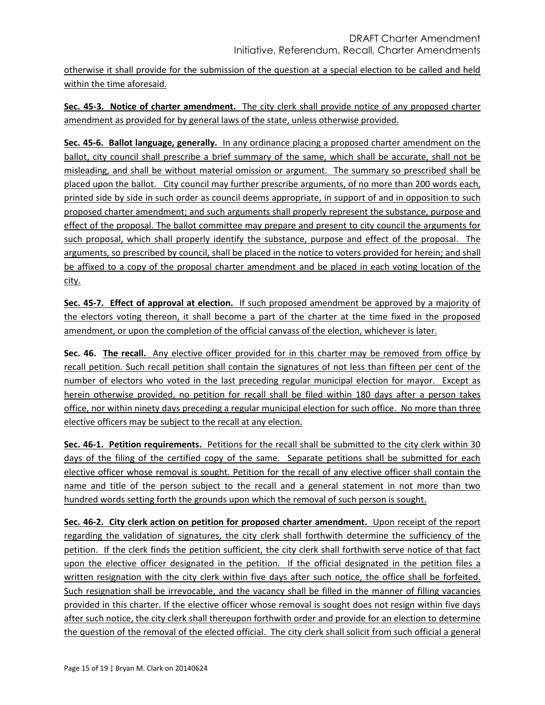otherwise it shall provide for the submission of the question at a special election to be called and held within the time aforesaid.

**Sec. 45-3. Notice of charter amendment.** The city clerk shall provide notice of any proposed charter amendment as provided for by general laws of the state, unless otherwise provided.

**Sec. 45-6. Ballot language, generally.** In any ordinance placing a proposed charter amendment on the ballot, city council shall prescribe a brief summary of the same, which shall be accurate, shall not be misleading, and shall be without material omission or argument. The summary so prescribed shall be placed upon the ballot. City council may further prescribe arguments, of no more than 200 words each, printed side by side in such order as council deems appropriate, in support of and in opposition to such proposed charter amendment; and such arguments shall properly represent the substance, purpose and effect of the proposal. The ballot committee may prepare and present to city council the arguments for such proposal, which shall properly identify the substance, purpose and effect of the proposal. The arguments, so prescribed by council, shall be placed in the notice to voters provided for herein; and shall be affixed to a copy of the proposal charter amendment and be placed in each voting location of the city.

**Sec. 45-7. Effect of approval at election.** If such proposed amendment be approved by a majority of the electors voting thereon, it shall become a part of the charter at the time fixed in the proposed amendment, or upon the completion of the official canvass of the election, whichever is later.

**Sec. 46. The recall.** Any elective officer provided for in this charter may be removed from office by recall petition. Such recall petition shall contain the signatures of not less than fifteen per cent of the number of electors who voted in the last preceding regular municipal election for mayor. Except as herein otherwise provided, no petition for recall shall be filed within 180 days after a person takes office, nor within ninety days preceding a regular municipal election for such office. No more than three elective officers may be subject to the recall at any election.

**Sec. 46-1. Petition requirements.** Petitions for the recall shall be submitted to the city clerk within 30 days of the filing of the certified copy of the same. Separate petitions shall be submitted for each elective officer whose removal is sought. Petition for the recall of any elective officer shall contain the name and title of the person subject to the recall and a general statement in not more than two hundred words setting forth the grounds upon which the removal of such person is sought.

**Sec. 46-2. City clerk action on petition for proposed charter amendment.** Upon receipt of the report regarding the validation of signatures, the city clerk shall forthwith determine the sufficiency of the petition. If the clerk finds the petition sufficient, the city clerk shall forthwith serve notice of that fact upon the elective officer designated in the petition. If the official designated in the petition files a written resignation with the city clerk within five days after such notice, the office shall be forfeited. Such resignation shall be irrevocable, and the vacancy shall be filled in the manner of filling vacancies provided in this charter. If the elective officer whose removal is sought does not resign within five days after such notice, the city clerk shall thereupon forthwith order and provide for an election to determine the question of the removal of the elected official. The city clerk shall solicit from such official a general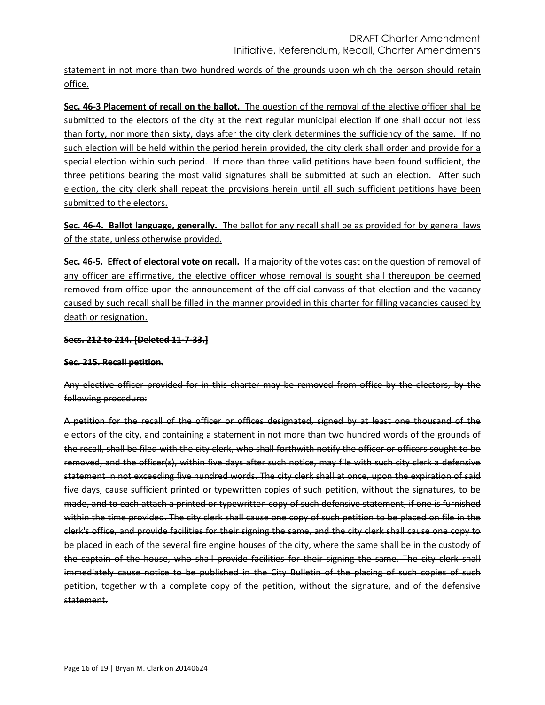statement in not more than two hundred words of the grounds upon which the person should retain office.

**Sec. 46-3 Placement of recall on the ballot.** The question of the removal of the elective officer shall be submitted to the electors of the city at the next regular municipal election if one shall occur not less than forty, nor more than sixty, days after the city clerk determines the sufficiency of the same. If no such election will be held within the period herein provided, the city clerk shall order and provide for a special election within such period. If more than three valid petitions have been found sufficient, the three petitions bearing the most valid signatures shall be submitted at such an election. After such election, the city clerk shall repeat the provisions herein until all such sufficient petitions have been submitted to the electors.

**Sec. 46-4. Ballot language, generally.** The ballot for any recall shall be as provided for by general laws of the state, unless otherwise provided.

**Sec. 46-5. Effect of electoral vote on recall.** If a majority of the votes cast on the question of removal of any officer are affirmative, the elective officer whose removal is sought shall thereupon be deemed removed from office upon the announcement of the official canvass of that election and the vacancy caused by such recall shall be filled in the manner provided in this charter for filling vacancies caused by death or resignation.

# **Secs. 212 to 214. [Deleted 11-7-33.]**

# **Sec. 215. Recall petition.**

Any elective officer provided for in this charter may be removed from office by the electors, by the following procedure:

A petition for the recall of the officer or offices designated, signed by at least one thousand of the electors of the city, and containing a statement in not more than two hundred words of the grounds of the recall, shall be filed with the city clerk, who shall forthwith notify the officer or officers sought to be removed, and the officer(s), within five days after such notice, may file with such city clerk a defensive statement in not exceeding five hundred words. The city clerk shall at once, upon the expiration of said five days, cause sufficient printed or typewritten copies of such petition, without the signatures, to be made, and to each attach a printed or typewritten copy of such defensive statement, if one is furnished within the time provided. The city clerk shall cause one copy of such petition to be placed on file in the clerk's office, and provide facilities for their signing the same, and the city clerk shall cause one copy to be placed in each of the several fire engine houses of the city, where the same shall be in the custody of the captain of the house, who shall provide facilities for their signing the same. The city clerk shall immediately cause notice to be published in the City Bulletin of the placing of such copies of such petition, together with a complete copy of the petition, without the signature, and of the defensive statement.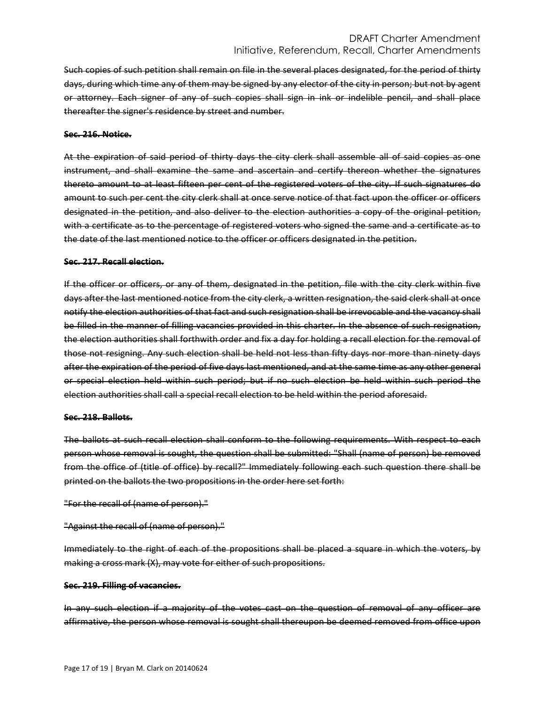Such copies of such petition shall remain on file in the several places designated, for the period of thirty days, during which time any of them may be signed by any elector of the city in person; but not by agent or attorney. Each signer of any of such copies shall sign in ink or indelible pencil, and shall place thereafter the signer's residence by street and number.

### **Sec. 216. Notice.**

At the expiration of said period of thirty days the city clerk shall assemble all of said copies as one instrument, and shall examine the same and ascertain and certify thereon whether the signatures thereto amount to at least fifteen per cent of the registered voters of the city. If such signatures do amount to such per cent the city clerk shall at once serve notice of that fact upon the officer or officers designated in the petition, and also deliver to the election authorities a copy of the original petition, with a certificate as to the percentage of registered voters who signed the same and a certificate as to the date of the last mentioned notice to the officer or officers designated in the petition.

#### **Sec. 217. Recall election.**

If the officer or officers, or any of them, designated in the petition, file with the city clerk within five days after the last mentioned notice from the city clerk, a written resignation, the said clerk shall at once notify the election authorities of that fact and such resignation shall be irrevocable and the vacancy shall be filled in the manner of filling vacancies provided in this charter. In the absence of such resignation, the election authorities shall forthwith order and fix a day for holding a recall election for the removal of those not resigning. Any such election shall be held not less than fifty days nor more than ninety days after the expiration of the period of five days last mentioned, and at the same time as any other general or special election held within such period; but if no such election be held within such period the election authorities shall call a special recall election to be held within the period aforesaid.

#### **Sec. 218. Ballots.**

The ballots at such recall election shall conform to the following requirements. With respect to each person whose removal is sought, the question shall be submitted: "Shall (name of person) be removed from the office of (title of office) by recall?" Immediately following each such question there shall be printed on the ballots the two propositions in the order here set forth:

```
"For the recall of (name of person)."
```

```
"Against the recall of (name of person)."
```
Immediately to the right of each of the propositions shall be placed a square in which the voters, by making a cross mark (X), may vote for either of such propositions.

### **Sec. 219. Filling of vacancies.**

In any such election if a majority of the votes cast on the question of removal of any officer are affirmative, the person whose removal is sought shall thereupon be deemed removed from office upon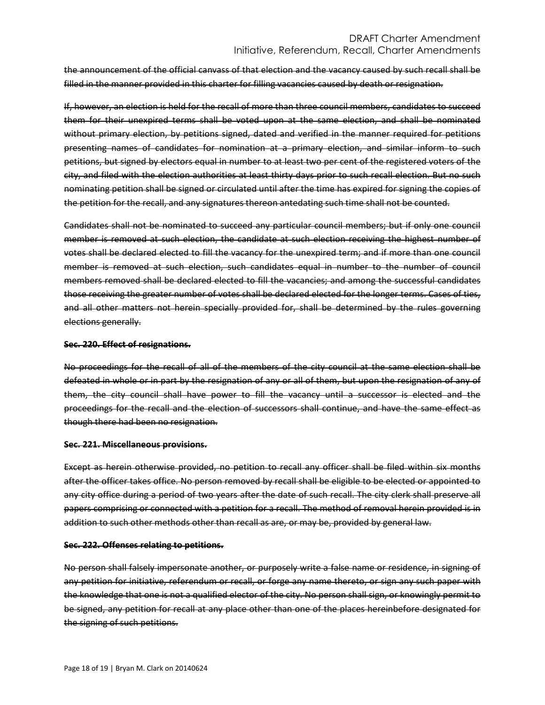# DRAFT Charter Amendment Initiative, Referendum, Recall, Charter Amendments

the announcement of the official canvass of that election and the vacancy caused by such recall shall be filled in the manner provided in this charter for filling vacancies caused by death or resignation.

If, however, an election is held for the recall of more than three council members, candidates to succeed them for their unexpired terms shall be voted upon at the same election, and shall be nominated without primary election, by petitions signed, dated and verified in the manner required for petitions presenting names of candidates for nomination at a primary election, and similar inform to such petitions, but signed by electors equal in number to at least two per cent of the registered voters of the city, and filed with the election authorities at least thirty days prior to such recall election. But no such nominating petition shall be signed or circulated until after the time has expired for signing the copies of the petition for the recall, and any signatures thereon antedating such time shall not be counted.

Candidates shall not be nominated to succeed any particular council members; but if only one council member is removed at such election, the candidate at such election receiving the highest number of votes shall be declared elected to fill the vacancy for the unexpired term; and if more than one council member is removed at such election, such candidates equal in number to the number of council members removed shall be declared elected to fill the vacancies; and among the successful candidates those receiving the greater number of votes shall be declared elected for the longer terms. Cases of ties, and all other matters not herein specially provided for, shall be determined by the rules governing elections generally.

#### **Sec. 220. Effect of resignations.**

No proceedings for the recall of all of the members of the city council at the same election shall be defeated in whole or in part by the resignation of any or all of them, but upon the resignation of any of them, the city council shall have power to fill the vacancy until a successor is elected and the proceedings for the recall and the election of successors shall continue, and have the same effect as though there had been no resignation.

### **Sec. 221. Miscellaneous provisions.**

Except as herein otherwise provided, no petition to recall any officer shall be filed within six months after the officer takes office. No person removed by recall shall be eligible to be elected or appointed to any city office during a period of two years after the date of such recall. The city clerk shall preserve all papers comprising or connected with a petition for a recall. The method of removal herein provided is in addition to such other methods other than recall as are, or may be, provided by general law.

### **Sec. 222. Offenses relating to petitions.**

No person shall falsely impersonate another, or purposely write a false name or residence, in signing of any petition for initiative, referendum or recall, or forge any name thereto, or sign any such paper with the knowledge that one is not a qualified elector of the city. No person shall sign, or knowingly permit to be signed, any petition for recall at any place other than one of the places hereinbefore designated for the signing of such petitions.